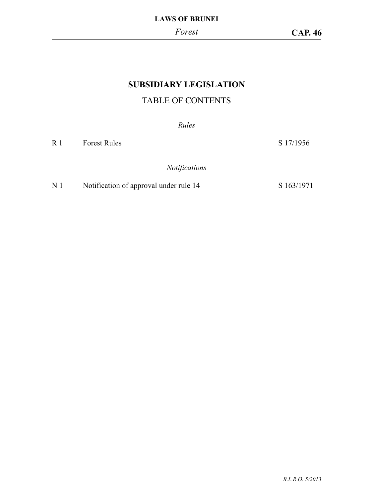# **SUBSIDIARY LEGISLATION**

# TABLE OF CONTENTS

*Rules*

R 1 Forest Rules S 17/1956

*Notifications*

# N 1 Notification of approval under rule 14 S 163/1971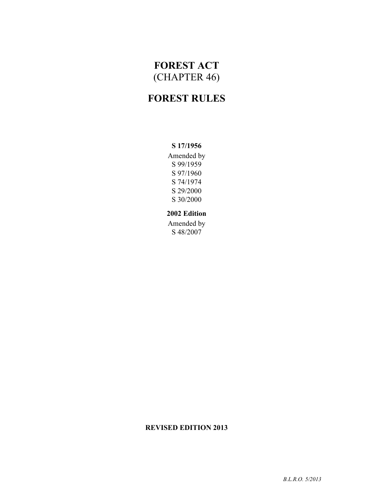# **FOREST ACT** (CHAPTER 46)

# **FOREST RULES**

#### **S 17/1956**

Amended by S 99/1959 S 97/1960 S 74/1974 S 29/2000 S 30/2000

#### **2002 Edition**

Amended by S 48/2007

## **REVISED EDITION 2013**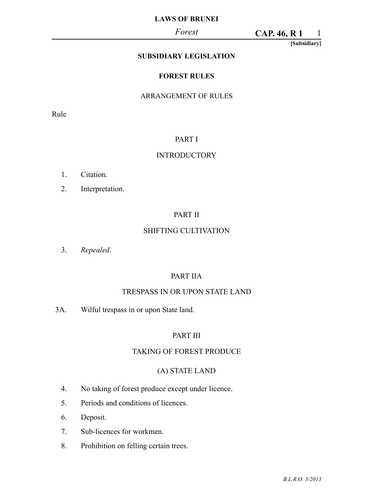#### *Forest*

1 **CAP. 46, R 1**

**[Subsidiary]**

## **SUBSIDIARY LEGISLATION**

#### **FOREST RULES**

#### ARRANGEMENT OF RULES

Rule

#### PART I

#### **INTRODUCTORY**

- 1. Citation.
- 2. Interpretation.

#### PART II

#### SHIFTING CULTIVATION

3. *Repealed*.

#### PART IIA

#### TRESPASS IN OR UPON STATE LAND

3A. Wilful trespass in or upon State land.

# PART III

#### TAKING OF FOREST PRODUCE

## (A) STATE LAND

- 4. No taking of forest produce except under licence.
- 5. Periods and conditions of licences.
- 6. Deposit.
- 7. Sub-licences for workmen.
- 8. Prohibition on felling certain trees.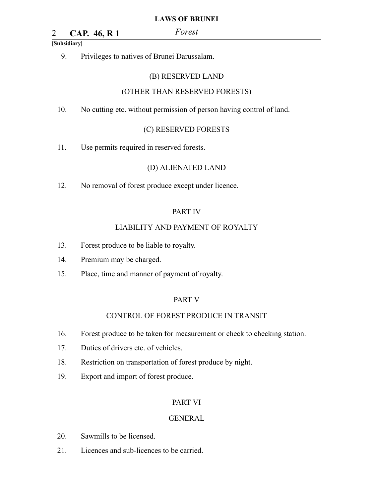# 2 *Forest* **CAP. 46, R 1**

#### **[Subsidiary]**

9. Privileges to natives of Brunei Darussalam.

#### (B) RESERVED LAND

#### (OTHER THAN RESERVED FORESTS)

10. No cutting etc. without permission of person having control of land.

#### (C) RESERVED FORESTS

11. Use permits required in reserved forests.

#### (D) ALIENATED LAND

12. No removal of forest produce except under licence.

#### PART IV

#### LIABILITY AND PAYMENT OF ROYALTY

- 13. Forest produce to be liable to royalty.
- 14. Premium may be charged.
- 15. Place, time and manner of payment of royalty.

#### PART V

#### CONTROL OF FOREST PRODUCE IN TRANSIT

- 16. Forest produce to be taken for measurement or check to checking station.
- 17. Duties of drivers etc. of vehicles.
- 18. Restriction on transportation of forest produce by night.
- 19. Export and import of forest produce.

#### PART VI

#### GENERAL

- 20. Sawmills to be licensed.
- 21. Licences and sub-licences to be carried.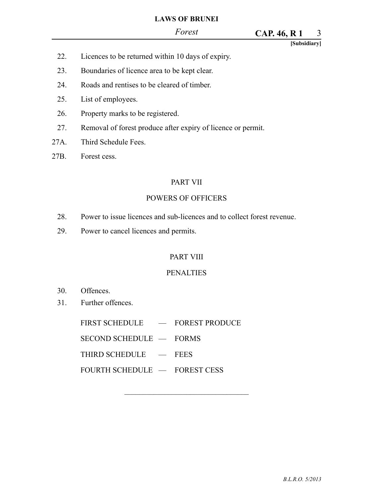#### *Forest*

#### 3 **CAP. 46, R 1**

**[Subsidiary]**

- 22. Licences to be returned within 10 days of expiry.
- 23. Boundaries of licence area to be kept clear.
- 24. Roads and rentises to be cleared of timber.
- 25. List of employees.
- 26. Property marks to be registered.
- 27. Removal of forest produce after expiry of licence or permit.
- 27A. Third Schedule Fees.
- 27B. Forest cess.

#### PART VII

#### POWERS OF OFFICERS

- 28. Power to issue licences and sub-licences and to collect forest revenue.
- 29. Power to cancel licences and permits.

#### PART VIII

#### **PENALTIES**

 $\mathcal{L}_\text{max}$ 

- 30. Offences.
- 31. Further offences.

FIRST SCHEDULE - FOREST PRODUCE

SECOND SCHEDULE — FORMS

THIRD SCHEDULE — FEES

FOURTH SCHEDULE — FOREST CESS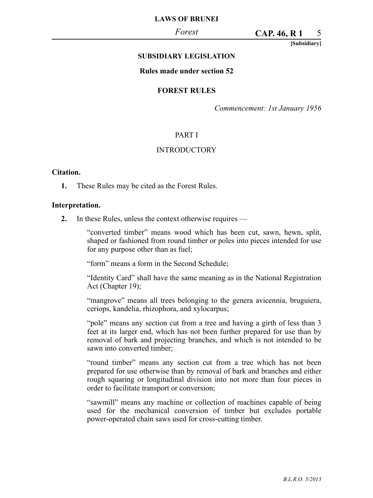#### *Forest*

#### 5 **CAP. 46, R 1**

**[Subsidiary]**

#### **SUBSIDIARY LEGISLATION**

#### **Rules made under section 52**

#### **FOREST RULES**

*Commencement: 1st January 1956*

#### PART I

#### **INTRODUCTORY**

#### **Citation.**

**1.** These Rules may be cited as the Forest Rules.

#### **Interpretation.**

**2.** In these Rules, unless the context otherwise requires —

"converted timber" means wood which has been cut, sawn, hewn, split, shaped or fashioned from round timber or poles into pieces intended for use for any purpose other than as fuel;

"form" means a form in the Second Schedule;

"Identity Card" shall have the same meaning as in the National Registration Act (Chapter 19);

"mangrove" means all trees belonging to the genera avicennia, bruguiera, ceriops, kandelia, rhizophora, and xylocarpus;

"pole" means any section cut from a tree and having a girth of less than 3 feet at its larger end, which has not been further prepared for use than by removal of bark and projecting branches, and which is not intended to be sawn into converted timber;

"round timber" means any section cut from a tree which has not been prepared for use otherwise than by removal of bark and branches and either rough squaring or longitudinal division into not more than four pieces in order to facilitate transport or conversion;

"sawmill" means any machine or collection of machines capable of being used for the mechanical conversion of timber but excludes portable power-operated chain saws used for cross-cutting timber.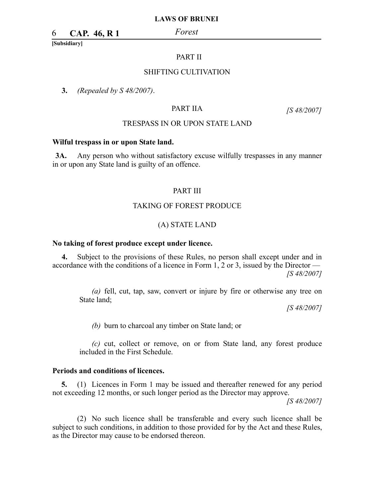# 6 *Forest* **CAP. 46, R 1**

**[Subsidiary]**

#### PART II

#### SHIFTING CULTIVATION

**3.** *(Repealed by S 48/2007)*.

#### PART IIA

*[S 48/2007]*

#### TRESPASS IN OR UPON STATE LAND

#### **Wilful trespass in or upon State land.**

**3A.** Any person who without satisfactory excuse wilfully trespasses in any manner in or upon any State land is guilty of an offence.

#### PART III

#### TAKING OF FOREST PRODUCE

#### (A) STATE LAND

#### **No taking of forest produce except under licence.**

**4.** Subject to the provisions of these Rules, no person shall except under and in accordance with the conditions of a licence in Form 1, 2 or 3, issued by the Director — *[S 48/2007]*

*(a)* fell, cut, tap, saw, convert or injure by fire or otherwise any tree on State land;

*[S 48/2007]*

*(b)* burn to charcoal any timber on State land; or

*(c)* cut, collect or remove, on or from State land, any forest produce included in the First Schedule.

#### **Periods and conditions of licences.**

**5.** (1) Licences in Form 1 may be issued and thereafter renewed for any period not exceeding 12 months, or such longer period as the Director may approve.

*[S 48/2007]*

(2) No such licence shall be transferable and every such licence shall be subject to such conditions, in addition to those provided for by the Act and these Rules, as the Director may cause to be endorsed thereon.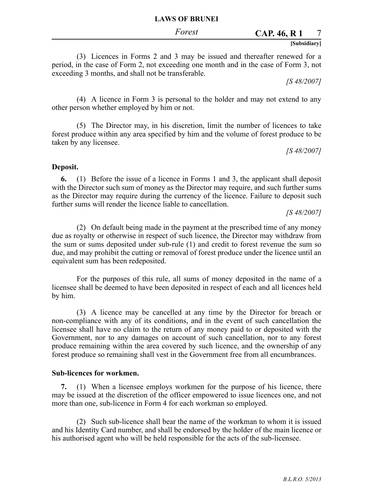#### 7 **CAP. 46, R 1**

#### **[Subsidiary]**

(3) Licences in Forms 2 and 3 may be issued and thereafter renewed for a period, in the case of Form 2, not exceeding one month and in the case of Form 3, not exceeding 3 months, and shall not be transferable.

*[S 48/2007]*

(4) A licence in Form 3 is personal to the holder and may not extend to any other person whether employed by him or not.

(5) The Director may, in his discretion, limit the number of licences to take forest produce within any area specified by him and the volume of forest produce to be taken by any licensee.

*[S 48/2007]*

#### **Deposit.**

**6.** (1) Before the issue of a licence in Forms 1 and 3, the applicant shall deposit with the Director such sum of money as the Director may require, and such further sums as the Director may require during the currency of the licence. Failure to deposit such further sums will render the licence liable to cancellation.

*[S 48/2007]*

(2) On default being made in the payment at the prescribed time of any money due as royalty or otherwise in respect of such licence, the Director may withdraw from the sum or sums deposited under sub-rule (1) and credit to forest revenue the sum so due, and may prohibit the cutting or removal of forest produce under the licence until an equivalent sum has been redeposited.

For the purposes of this rule, all sums of money deposited in the name of a licensee shall be deemed to have been deposited in respect of each and all licences held by him.

(3) A licence may be cancelled at any time by the Director for breach or non-compliance with any of its conditions, and in the event of such cancellation the licensee shall have no claim to the return of any money paid to or deposited with the Government, nor to any damages on account of such cancellation, nor to any forest produce remaining within the area covered by such licence, and the ownership of any forest produce so remaining shall vest in the Government free from all encumbrances.

#### **Sub-licences for workmen.**

**7.** (1) When a licensee employs workmen for the purpose of his licence, there may be issued at the discretion of the officer empowered to issue licences one, and not more than one, sub-licence in Form 4 for each workman so employed.

(2) Such sub-licence shall bear the name of the workman to whom it is issued and his Identity Card number, and shall be endorsed by the holder of the main licence or his authorised agent who will be held responsible for the acts of the sub-licensee.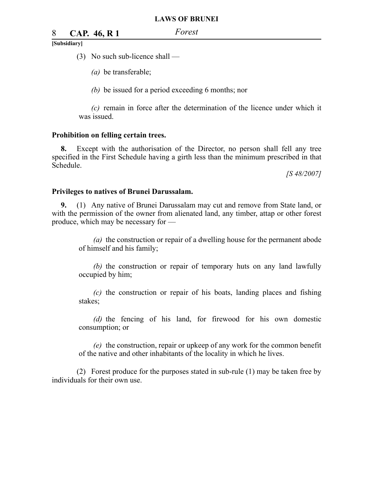# 8 *Forest* **CAP. 46, R 1**

#### **[Subsidiary]**

- (3) No such sub-licence shall
	- *(a)* be transferable;

*(b)* be issued for a period exceeding 6 months; nor

*(c)* remain in force after the determination of the licence under which it was issued.

#### **Prohibition on felling certain trees.**

**8.** Except with the authorisation of the Director, no person shall fell any tree specified in the First Schedule having a girth less than the minimum prescribed in that Schedule.

*[S 48/2007]*

#### **Privileges to natives of Brunei Darussalam.**

**9.** (1) Any native of Brunei Darussalam may cut and remove from State land, or with the permission of the owner from alienated land, any timber, attap or other forest produce, which may be necessary for —

*(a)* the construction or repair of a dwelling house for the permanent abode of himself and his family;

*(b)* the construction or repair of temporary huts on any land lawfully occupied by him;

*(c)* the construction or repair of his boats, landing places and fishing stakes;

*(d)* the fencing of his land, for firewood for his own domestic consumption; or

*(e)* the construction, repair or upkeep of any work for the common benefit of the native and other inhabitants of the locality in which he lives.

(2) Forest produce for the purposes stated in sub-rule (1) may be taken free by individuals for their own use.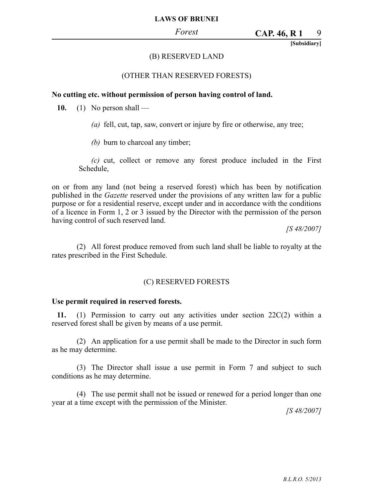**[Subsidiary]**

## (B) RESERVED LAND

#### (OTHER THAN RESERVED FORESTS)

#### **No cutting etc. without permission of person having control of land.**

**10.** (1) No person shall —

*(a)* fell, cut, tap, saw, convert or injure by fire or otherwise, any tree;

*(b)* burn to charcoal any timber;

*(c)* cut, collect or remove any forest produce included in the First Schedule,

on or from any land (not being a reserved forest) which has been by notification published in the *Gazette* reserved under the provisions of any written law for a public purpose or for a residential reserve, except under and in accordance with the conditions of a licence in Form 1, 2 or 3 issued by the Director with the permission of the person having control of such reserved land.

*[S 48/2007]*

(2) All forest produce removed from such land shall be liable to royalty at the rates prescribed in the First Schedule.

## (C) RESERVED FORESTS

#### **Use permit required in reserved forests.**

**11.** (1) Permission to carry out any activities under section  $22C(2)$  within a reserved forest shall be given by means of a use permit.

(2) An application for a use permit shall be made to the Director in such form as he may determine.

(3) The Director shall issue a use permit in Form 7 and subject to such conditions as he may determine.

(4) The use permit shall not be issued or renewed for a period longer than one year at a time except with the permission of the Minister.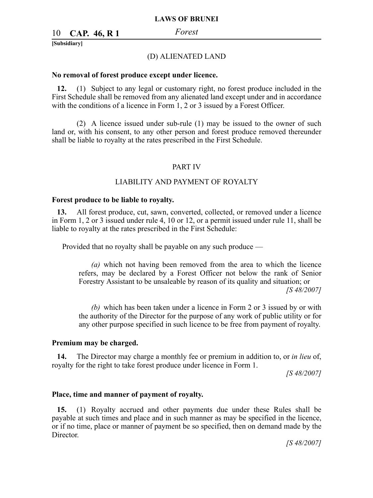# 10 *Forest* **CAP. 46, R 1**

**[Subsidiary]**

#### (D) ALIENATED LAND

#### **No removal of forest produce except under licence.**

**12.** (1) Subject to any legal or customary right, no forest produce included in the First Schedule shall be removed from any alienated land except under and in accordance with the conditions of a licence in Form 1, 2 or 3 issued by a Forest Officer.

(2) A licence issued under sub-rule (1) may be issued to the owner of such land or, with his consent, to any other person and forest produce removed thereunder shall be liable to royalty at the rates prescribed in the First Schedule.

#### PART IV

#### LIABILITY AND PAYMENT OF ROYALTY

#### **Forest produce to be liable to royalty.**

**13.** All forest produce, cut, sawn, converted, collected, or removed under a licence in Form 1, 2 or 3 issued under rule 4, 10 or 12, or a permit issued under rule 11, shall be liable to royalty at the rates prescribed in the First Schedule:

Provided that no royalty shall be payable on any such produce —

*(a)* which not having been removed from the area to which the licence refers, may be declared by a Forest Officer not below the rank of Senior Forestry Assistant to be unsaleable by reason of its quality and situation; or *[S 48/2007]*

*(b)* which has been taken under a licence in Form 2 or 3 issued by or with the authority of the Director for the purpose of any work of public utility or for any other purpose specified in such licence to be free from payment of royalty.

#### **Premium may be charged.**

**14.** The Director may charge a monthly fee or premium in addition to, or *in lieu* of, royalty for the right to take forest produce under licence in Form 1.

*[S 48/2007]*

#### **Place, time and manner of payment of royalty.**

**15.** (1) Royalty accrued and other payments due under these Rules shall be payable at such times and place and in such manner as may be specified in the licence, or if no time, place or manner of payment be so specified, then on demand made by the Director.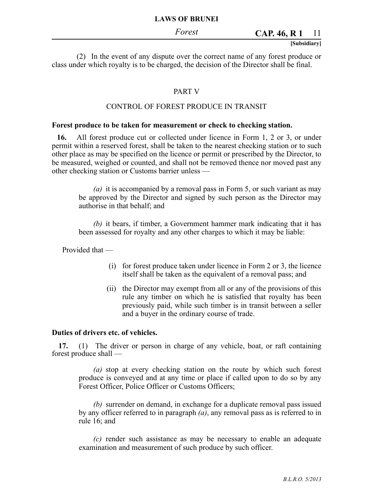#### 11 **CAP. 46, R 1**

#### **[Subsidiary]**

(2) In the event of any dispute over the correct name of any forest produce or class under which royalty is to be charged, the decision of the Director shall be final.

#### PART V

#### CONTROL OF FOREST PRODUCE IN TRANSIT

#### **Forest produce to be taken for measurement or check to checking station.**

**16.** All forest produce cut or collected under licence in Form 1, 2 or 3, or under permit within a reserved forest, shall be taken to the nearest checking station or to such other place as may be specified on the licence or permit or prescribed by the Director, to be measured, weighed or counted, and shall not be removed thence nor moved past any other checking station or Customs barrier unless —

*(a)* it is accompanied by a removal pass in Form 5, or such variant as may be approved by the Director and signed by such person as the Director may authorise in that behalf; and

*(b)* it bears, if timber, a Government hammer mark indicating that it has been assessed for royalty and any other charges to which it may be liable:

Provided that —

- (i) for forest produce taken under licence in Form 2 or 3, the licence itself shall be taken as the equivalent of a removal pass; and
- (ii) the Director may exempt from all or any of the provisions of this rule any timber on which he is satisfied that royalty has been previously paid, while such timber is in transit between a seller and a buyer in the ordinary course of trade.

#### **Duties of drivers etc. of vehicles.**

**17.** (1) The driver or person in charge of any vehicle, boat, or raft containing forest produce shall —

*(a)* stop at every checking station on the route by which such forest produce is conveyed and at any time or place if called upon to do so by any Forest Officer, Police Officer or Customs Officers;

*(b)* surrender on demand, in exchange for a duplicate removal pass issued by any officer referred to in paragraph *(a)*, any removal pass as is referred to in rule 16; and

*(c)* render such assistance as may be necessary to enable an adequate examination and measurement of such produce by such officer.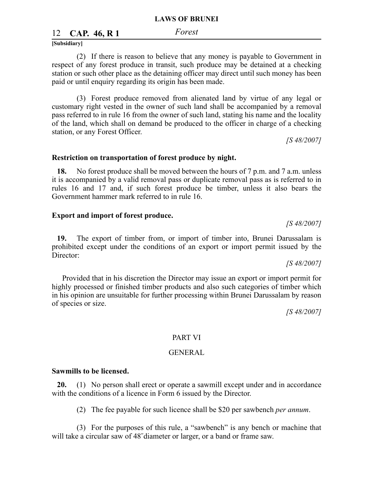# 12 *Forest* **CAP. 46, R 1**

**[Subsidiary]**

(2) If there is reason to believe that any money is payable to Government in respect of any forest produce in transit, such produce may be detained at a checking station or such other place as the detaining officer may direct until such money has been paid or until enquiry regarding its origin has been made.

(3) Forest produce removed from alienated land by virtue of any legal or customary right vested in the owner of such land shall be accompanied by a removal pass referred to in rule 16 from the owner of such land, stating his name and the locality of the land, which shall on demand be produced to the officer in charge of a checking station, or any Forest Officer.

*[S 48/2007]*

#### **Restriction on transportation of forest produce by night.**

**18.** No forest produce shall be moved between the hours of 7 p.m. and 7 a.m. unless it is accompanied by a valid removal pass or duplicate removal pass as is referred to in rules 16 and 17 and, if such forest produce be timber, unless it also bears the Government hammer mark referred to in rule 16.

#### **Export and import of forest produce.**

**19.** The export of timber from, or import of timber into, Brunei Darussalam is prohibited except under the conditions of an export or import permit issued by the Director:

*[S 48/2007]*

*[S 48/2007]*

Provided that in his discretion the Director may issue an export or import permit for highly processed or finished timber products and also such categories of timber which in his opinion are unsuitable for further processing within Brunei Darussalam by reason of species or size.

*[S 48/2007]*

#### PART VI

#### GENERAL

#### **Sawmills to be licensed.**

**20.** (1) No person shall erect or operate a sawmill except under and in accordance with the conditions of a licence in Form 6 issued by the Director.

(2) The fee payable for such licence shall be \$20 per sawbench *per annum*.

(3) For the purposes of this rule, a "sawbench" is any bench or machine that will take a circular saw of 48˝diameter or larger, or a band or frame saw.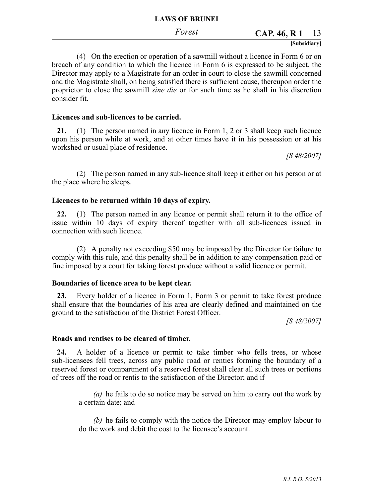#### 13 **CAP. 46, R 1**

#### **[Subsidiary]**

(4) On the erection or operation of a sawmill without a licence in Form 6 or on breach of any condition to which the licence in Form 6 is expressed to be subject, the Director may apply to a Magistrate for an order in court to close the sawmill concerned and the Magistrate shall, on being satisfied there is sufficient cause, thereupon order the proprietor to close the sawmill *sine die* or for such time as he shall in his discretion consider fit.

#### **Licences and sub-licences to be carried.**

**21.** (1) The person named in any licence in Form 1, 2 or 3 shall keep such licence upon his person while at work, and at other times have it in his possession or at his workshed or usual place of residence.

*[S 48/2007]*

(2) The person named in any sub-licence shall keep it either on his person or at the place where he sleeps.

#### **Licences to be returned within 10 days of expiry.**

**22.** (1) The person named in any licence or permit shall return it to the office of issue within 10 days of expiry thereof together with all sub-licences issued in connection with such licence.

(2) A penalty not exceeding \$50 may be imposed by the Director for failure to comply with this rule, and this penalty shall be in addition to any compensation paid or fine imposed by a court for taking forest produce without a valid licence or permit.

#### **Boundaries of licence area to be kept clear.**

**23.** Every holder of a licence in Form 1, Form 3 or permit to take forest produce shall ensure that the boundaries of his area are clearly defined and maintained on the ground to the satisfaction of the District Forest Officer.

*[S 48/2007]*

#### **Roads and rentises to be cleared of timber.**

**24.** A holder of a licence or permit to take timber who fells trees, or whose sub-licensees fell trees, across any public road or renties forming the boundary of a reserved forest or compartment of a reserved forest shall clear all such trees or portions of trees off the road or rentis to the satisfaction of the Director; and if —

*(a)* he fails to do so notice may be served on him to carry out the work by a certain date; and

*(b)* he fails to comply with the notice the Director may employ labour to do the work and debit the cost to the licensee's account.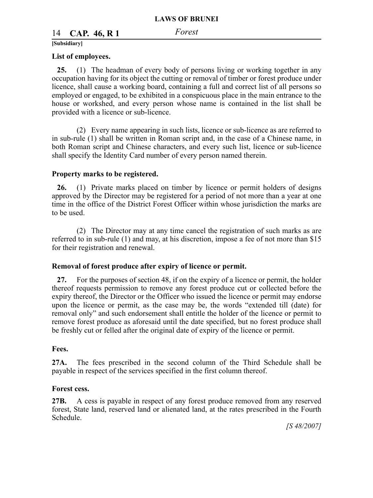# 14 *Forest* **CAP. 46, R 1**

#### **[Subsidiary]**

#### **List of employees.**

**25.** (1) The headman of every body of persons living or working together in any occupation having for its object the cutting or removal of timber or forest produce under licence, shall cause a working board, containing a full and correct list of all persons so employed or engaged, to be exhibited in a conspicuous place in the main entrance to the house or workshed, and every person whose name is contained in the list shall be provided with a licence or sub-licence.

(2) Every name appearing in such lists, licence or sub-licence as are referred to in sub-rule (1) shall be written in Roman script and, in the case of a Chinese name, in both Roman script and Chinese characters, and every such list, licence or sub-licence shall specify the Identity Card number of every person named therein.

#### **Property marks to be registered.**

**26.** (1) Private marks placed on timber by licence or permit holders of designs approved by the Director may be registered for a period of not more than a year at one time in the office of the District Forest Officer within whose jurisdiction the marks are to be used.

(2) The Director may at any time cancel the registration of such marks as are referred to in sub-rule (1) and may, at his discretion, impose a fee of not more than \$15 for their registration and renewal.

#### **Removal of forest produce after expiry of licence or permit.**

**27.** For the purposes of section 48, if on the expiry of a licence or permit, the holder thereof requests permission to remove any forest produce cut or collected before the expiry thereof, the Director or the Officer who issued the licence or permit may endorse upon the licence or permit, as the case may be, the words "extended till (date) for removal only" and such endorsement shall entitle the holder of the licence or permit to remove forest produce as aforesaid until the date specified, but no forest produce shall be freshly cut or felled after the original date of expiry of the licence or permit.

#### **Fees.**

**27A.** The fees prescribed in the second column of the Third Schedule shall be payable in respect of the services specified in the first column thereof.

#### **Forest cess.**

**27B.** A cess is payable in respect of any forest produce removed from any reserved forest, State land, reserved land or alienated land, at the rates prescribed in the Fourth Schedule.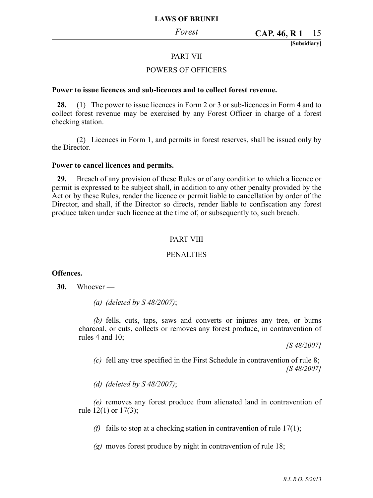**[Subsidiary]**

#### PART VII

#### POWERS OF OFFICERS

#### **Power to issue licences and sub-licences and to collect forest revenue.**

**28.** (1) The power to issue licences in Form 2 or 3 or sub-licences in Form 4 and to collect forest revenue may be exercised by any Forest Officer in charge of a forest checking station.

(2) Licences in Form 1, and permits in forest reserves, shall be issued only by the Director.

#### **Power to cancel licences and permits.**

**29.** Breach of any provision of these Rules or of any condition to which a licence or permit is expressed to be subject shall, in addition to any other penalty provided by the Act or by these Rules, render the licence or permit liable to cancellation by order of the Director, and shall, if the Director so directs, render liable to confiscation any forest produce taken under such licence at the time of, or subsequently to, such breach.

#### PART VIII

#### PENALTIES

#### **Offences.**

**30.** Whoever —

*(a) (deleted by S 48/2007)*;

*(b)* fells, cuts, taps, saws and converts or injures any tree, or burns charcoal, or cuts, collects or removes any forest produce, in contravention of rules 4 and 10;

*[S 48/2007]*

*(c)* fell any tree specified in the First Schedule in contravention of rule 8; *[S 48/2007]*

*(d) (deleted by S 48/2007)*;

*(e)* removes any forest produce from alienated land in contravention of rule 12(1) or 17(3);

*(f)* fails to stop at a checking station in contravention of rule  $17(1)$ ;

*(g)* moves forest produce by night in contravention of rule 18;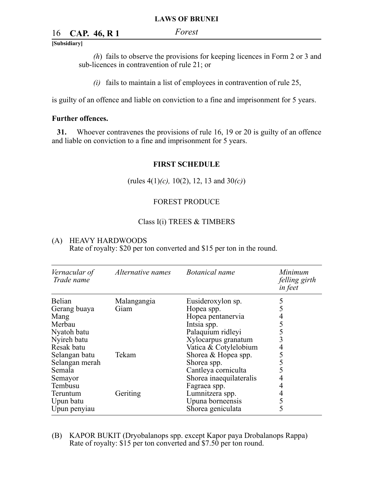# 16 *Forest* **CAP. 46, R 1**

#### **[Subsidiary]**

*(h*) fails to observe the provisions for keeping licences in Form 2 or 3 and sub-licences in contravention of rule 21; or

*(i)* fails to maintain a list of employees in contravention of rule 25,

is guilty of an offence and liable on conviction to a fine and imprisonment for 5 years.

#### **Further offences.**

**31.** Whoever contravenes the provisions of rule 16, 19 or 20 is guilty of an offence and liable on conviction to a fine and imprisonment for 5 years.

#### **FIRST SCHEDULE**

(rules 4(1)*(c),* 10(2), 12, 13 and 30*(c)*)

#### FOREST PRODUCE

#### Class I(i) TREES & TIMBERS

#### (A) HEAVY HARDWOODS

Rate of royalty: \$20 per ton converted and \$15 per ton in the round.

| Vernacular of<br>Trade name     | Alternative names   | Botanical name                                 | Minimum<br>felling girth<br>in feet |
|---------------------------------|---------------------|------------------------------------------------|-------------------------------------|
| <b>Belian</b><br>Gerang buaya   | Malangangia<br>Giam | Eusideroxylon sp.<br>Hopea spp.                | 5                                   |
| Mang<br>Merbau                  |                     | Hopea pentanervia<br>Intsia spp.               |                                     |
| Nyatoh batu<br>Nyireh batu      |                     | Palaquium ridleyi                              |                                     |
| Resak batu                      |                     | Xylocarpus granatum<br>Vatica & Cotylelobium   | 4                                   |
| Selangan batu<br>Selangan merah | Tekam               | Shorea & Hopea spp.<br>Shorea spp.             |                                     |
| Semala<br>Semayor               |                     | Cantleya corniculta<br>Shorea inaequilateralis |                                     |
| Tembusu                         |                     | Fagraea spp.                                   |                                     |
| Teruntum<br>Upun batu           | Geriting            | Lumnitzera spp.<br>Upuna borneensis            | 5                                   |
| Upun penyiau                    |                     | Shorea geniculata                              | 5                                   |

(B) KAPOR BUKIT (Dryobalanops spp. except Kapor paya Drobalanops Rappa) Rate of royalty: \$15 per ton converted and \$7.50 per ton round.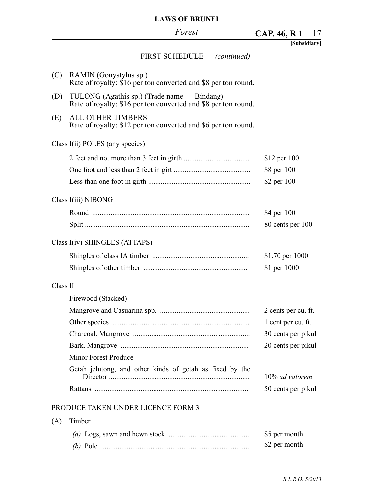#### *Forest* 17 **[Subsidiary] CAP. 46, R 1** FIRST SCHEDULE — *(continued)* (C) RAMIN (Gonystylus sp.) Rate of royalty: \$16 per ton converted and \$8 per ton round. (D) TULONG (Agathis sp.) (Trade name — Bindang) Rate of royalty: \$16 per ton converted and \$8 per ton round. (E) ALL OTHER TIMBERS Rate of royalty: \$12 per ton converted and \$6 per ton round. Class I(ii) POLES (any species) 2 feet and not more than 3 feet in girth .................................... One foot and less than 2 feet in girt .......................................... Less than one foot in girth ........................................................ \$12 per 100 \$8 per 100 \$2 per 100 Class I(iii) NIBONG Round ...................................................................................... Split .......................................................................................... \$4 per 100 80 cents per 100 Class I(iv) SHINGLES (ATTAPS) Shingles of class IA timber ..................................................... Shingles of other timber ......................................................... \$1.70 per 1000 \$1 per 1000 Class II Firewood (Stacked) Mangrove and Casuarina spp. ................................................. Other species ........................................................................... Charcoal. Mangrove ................................................................ Bark. Mangrove ...................................................................... Minor Forest Produce Getah jelutong, and other kinds of getah as fixed by the Director ............................................................................. Rattans .................................................................................... 2 cents per cu. ft. 1 cent per cu. ft. 30 cents per pikul 20 cents per pikul 10% *ad valorem* 50 cents per pikul PRODUCE TAKEN UNDER LICENCE FORM 3

#### (A) Timber

|            | \$5 per month |
|------------|---------------|
| $(b)$ Pole | \$2 per month |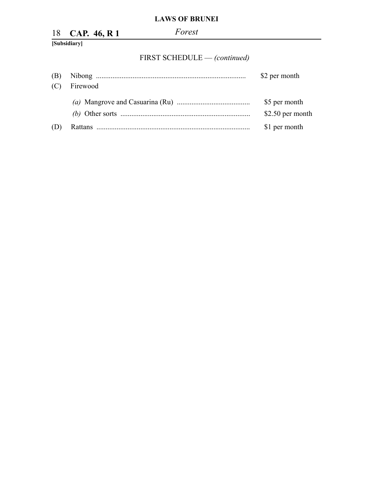|     | 18 CAP. 46, R 1 | Forest                       |               |
|-----|-----------------|------------------------------|---------------|
|     | [Subsidiary]    |                              |               |
|     |                 | FIRST SCHEDULE - (continued) |               |
| (B) |                 |                              | \$2 per month |
| (C) | Firewood        |                              |               |

|     |                                                                                                                    | \$5 per month    |
|-----|--------------------------------------------------------------------------------------------------------------------|------------------|
|     | (b) Other sorts $\ldots$ $\ldots$ $\ldots$ $\ldots$ $\ldots$ $\ldots$ $\ldots$ $\ldots$ $\ldots$ $\ldots$ $\ldots$ | \$2.50 per month |
| (D) |                                                                                                                    | \$1 per month    |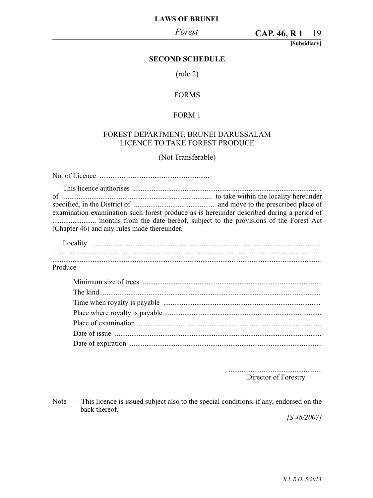19 **CAP. 46, R 1**

**[Subsidiary]**

#### **SECOND SCHEDULE**

(rule 2)

#### FORMS

#### FORM 1

#### FOREST DEPARTMENT, BRUNEI DARUSSALAM LICENCE TO TAKE FOREST PRODUCE

#### (Not Transferable)

No. of Licence ............................................................ This licence authorises ....................................................................................................... of .................................................................................. to take within the locality hereunder specified, in the District of ............................................ and move to the prescribed place of examination examination such forest produce as is hereunder described during a period of ........................ months from the date hereof, subject to the provisions of the Forest Act (Chapter 46) and any rules made thereunder. Locality .............................................................................................................................. ................................................................................................................................................... ...................................................................................................................................................

Produce

................................................... Director of Forestry

Note — This licence is issued subject also to the special conditions, if any, endorsed on the back thereof.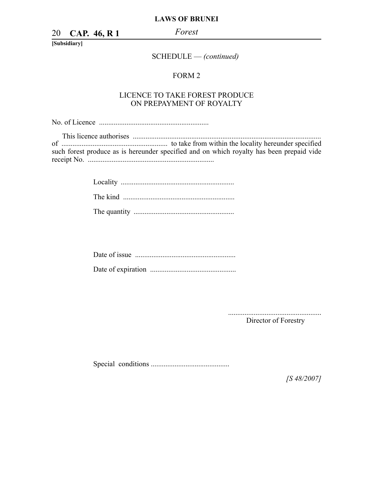20 *Forest* **CAP. 46, R 1**

**[Subsidiary]**

SCHEDULE — *(continued)*

#### FORM 2

#### LICENCE TO TAKE FOREST PRODUCE ON PREPAYMENT OF ROYALTY

No. of Licence ............................................................

This licence authorises ....................................................................................................... of .......................................................... to take from within the locality hereunder specified such forest produce as is hereunder specified and on which royalty has been prepaid vide receipt No. .....................................................................

> Locality .............................................................. The kind ............................................................. The quantity .......................................................

................................................... Director of Forestry

Special conditions ...........................................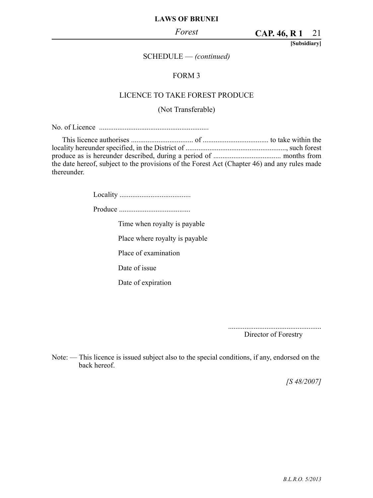#### *Forest*

21 **CAP. 46, R 1**

**[Subsidiary]**

#### SCHEDULE — *(continued)*

#### FORM 3

#### LICENCE TO TAKE FOREST PRODUCE

## (Not Transferable)

No. of Licence ............................................................

| the date hereof, subject to the provisions of the Forest Act (Chapter 46) and any rules made |  |
|----------------------------------------------------------------------------------------------|--|
| thereunder.                                                                                  |  |

Locality .......................................

Produce .......................................

Time when royalty is payable

Place where royalty is payable

Place of examination

Date of issue

Date of expiration

...................................................

Director of Forestry

Note: — This licence is issued subject also to the special conditions, if any, endorsed on the back hereof.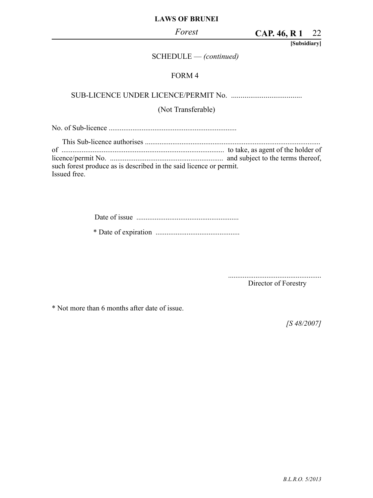#### *Forest*

22 **CAP. 46, R 1**

**[Subsidiary]**

#### SCHEDULE — *(continued)*

#### FORM 4

SUB-LICENCE UNDER LICENCE/PERMIT No. .....................................

# (Not Transferable)

No. of Sub-licence ......................................................................

This Sub-licence authorises ................................................................................................ of ......................................................................................... to take, as agent of the holder of licence/permit No. .............................................................. and subject to the terms thereof, such forest produce as is described in the said licence or permit. Issued free.

| $\star$ Dec $\cdot$ Constanting |  |
|---------------------------------|--|

\* Date of expiration ..............................................

................................................... Director of Forestry

\* Not more than 6 months after date of issue.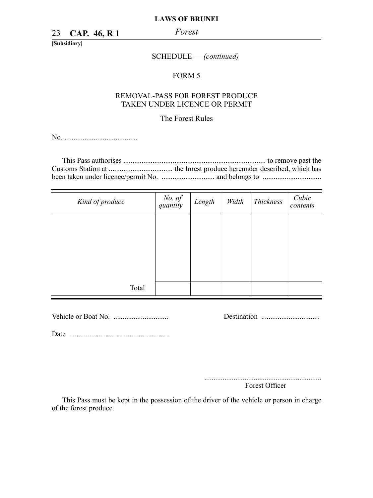23 *Forest* **CAP. 46, R 1**

**[Subsidiary]**

SCHEDULE — *(continued)*

#### FORM 5

#### REMOVAL-PASS FOR FOREST PRODUCE TAKEN UNDER LICENCE OR PERMIT

#### The Forest Rules

No. ........................................

| Kind of produce | No. of<br>quantity | Length | Width | Thickness | Cubic<br>contents |
|-----------------|--------------------|--------|-------|-----------|-------------------|
|                 |                    |        |       |           |                   |
|                 |                    |        |       |           |                   |
|                 |                    |        |       |           |                   |
|                 |                    |        |       |           |                   |
| Total           |                    |        |       |           |                   |

Vehicle or Boat No. .............................. Destination ................................

Date .......................................................

................................................................ Forest Officer

This Pass must be kept in the possession of the driver of the vehicle or person in charge of the forest produce.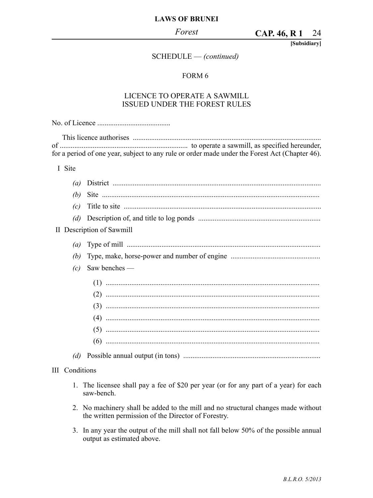**[Subsidiary]**

# SCHEDULE — *(continued)*

#### FORM 6

#### LICENCE TO OPERATE A SAWMILL ISSUED UNDER THE FOREST RULES

|                       | for a period of one year, subject to any rule or order made under the Forest Act (Chapter 46).                                           |
|-----------------------|------------------------------------------------------------------------------------------------------------------------------------------|
| I Site                |                                                                                                                                          |
| (a)                   |                                                                                                                                          |
| (b)                   |                                                                                                                                          |
| (c)                   |                                                                                                                                          |
| (d)                   |                                                                                                                                          |
|                       | II Description of Sawmill                                                                                                                |
| (a)                   |                                                                                                                                          |
| (b)                   |                                                                                                                                          |
| (c)                   | Saw benches -                                                                                                                            |
|                       |                                                                                                                                          |
|                       |                                                                                                                                          |
|                       |                                                                                                                                          |
|                       |                                                                                                                                          |
|                       |                                                                                                                                          |
|                       |                                                                                                                                          |
|                       |                                                                                                                                          |
| <b>III</b> Conditions |                                                                                                                                          |
|                       | 1. The licensee shall pay a fee of \$20 per year (or for any part of a year) for each<br>saw-bench.                                      |
|                       | 2. No machinery shall be added to the mill and no structural changes made without<br>the written permission of the Director of Forestry. |

3. In any year the output of the mill shall not fall below 50% of the possible annual output as estimated above.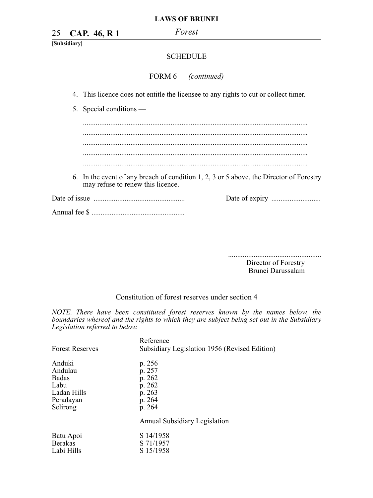25 *Forest* **CAP. 46, R 1**

**[Subsidiary]**

#### **SCHEDULE**

FORM 6 — *(continued)*

- 4. This licence does not entitle the licensee to any rights to cut or collect timer.
- 5. Special conditions —

........................................................................................................................... ...........................................................................................................................

6. In the event of any breach of condition 1, 2, 3 or 5 above, the Director of Forestry may refuse to renew this licence.

Date of issue .................................................. Date of expiry ...........................

Annual fee \$ ...................................................

...................................................

 Director of Forestry Brunei Darussalam

#### Constitution of forest reserves under section 4

*NOTE. There have been constituted forest reserves known by the names below, the boundaries whereof and the rights to which they are subject being set out in the Subsidiary Legislation referred to below.*

| <b>Forest Reserves</b> | Reference<br>Subsidiary Legislation 1956 (Revised Edition) |
|------------------------|------------------------------------------------------------|
| Anduki                 | p. 256                                                     |
| Andulau                | p. 257                                                     |
| <b>Badas</b>           | p. 262                                                     |
| Labu                   | p. 262                                                     |
| Ladan Hills            | p. 263                                                     |
| Peradayan              | p. 264                                                     |
| Selirong               | p. 264                                                     |
|                        | Annual Subsidiary Legislation                              |
| Batu Apoi              | S 14/1958                                                  |
| <b>Berakas</b>         | S 71/1957                                                  |
| Labi Hills             | S 15/1958                                                  |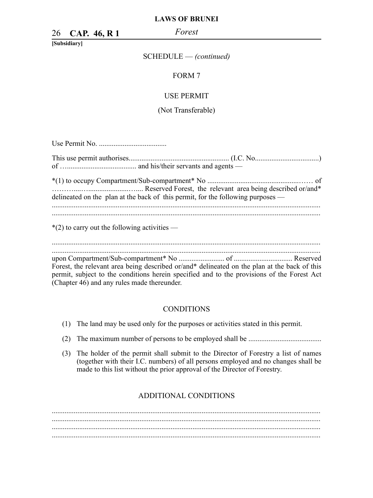26 *Forest* **CAP. 46, R 1**

**[Subsidiary]**

#### SCHEDULE — *(continued)*

#### FORM 7

#### USE PERMIT

#### (Not Transferable)

Use Permit No. .....................................

|                                                | delineated on the plan at the back of this permit, for the following purposes — |
|------------------------------------------------|---------------------------------------------------------------------------------|
| $*(2)$ to carry out the following activities — |                                                                                 |

................................................................................................................................................... upon Compartment/Sub-compartment\* No ......................... of ................................ Reserved Forest, the relevant area being described or/and\* delineated on the plan at the back of this permit, subject to the conditions herein specified and to the provisions of the Forest Act

(Chapter 46) and any rules made thereunder.

#### **CONDITIONS**

- (1) The land may be used only for the purposes or activities stated in this permit.
- (2) The maximum number of persons to be employed shall be ........................................
- (3) The holder of the permit shall submit to the Director of Forestry a list of names (together with their I.C. numbers) of all persons employed and no changes shall be made to this list without the prior approval of the Director of Forestry.

#### ADDITIONAL CONDITIONS

................................................................................................................................................... ................................................................................................................................................... ...................................................................................................................................................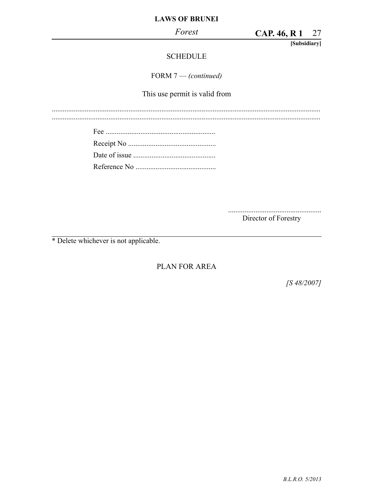**CAP. 46, R1** 27

[Subsidiary]

# **SCHEDULE**

FORM 7 - (continued)

This use permit is valid from

Director of Forestry

\* Delete whichever is not applicable.

PLAN FOR AREA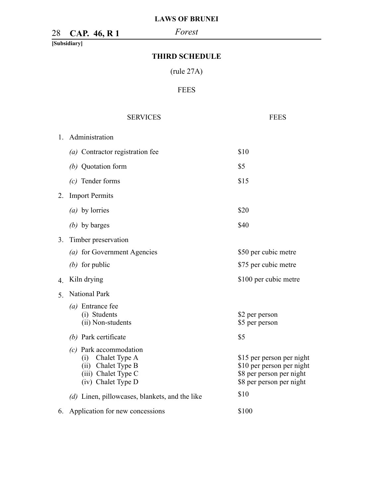# 28 *Forest* **CAP. 46, R 1**

**[Subsidiary]**

# **THIRD SCHEDULE**

(rule 27A)

# FEES

|                | <b>SERVICES</b>                                                                                                  | <b>FEES</b>                                                                                                    |
|----------------|------------------------------------------------------------------------------------------------------------------|----------------------------------------------------------------------------------------------------------------|
| $1_{-}$        | Administration                                                                                                   |                                                                                                                |
|                | (a) Contractor registration fee                                                                                  | \$10                                                                                                           |
|                | (b) Quotation form                                                                                               | \$5                                                                                                            |
|                | $(c)$ Tender forms                                                                                               | \$15                                                                                                           |
| 2.             | <b>Import Permits</b>                                                                                            |                                                                                                                |
|                | ( <i>a</i> ) by lorries                                                                                          | \$20                                                                                                           |
|                | $(b)$ by barges                                                                                                  | \$40                                                                                                           |
| 3.             | Timber preservation                                                                                              |                                                                                                                |
|                | (a) for Government Agencies                                                                                      | \$50 per cubic metre                                                                                           |
|                | $(b)$ for public                                                                                                 | \$75 per cubic metre                                                                                           |
| $\overline{4}$ | Kiln drying                                                                                                      | \$100 per cubic metre                                                                                          |
| 5.             | National Park                                                                                                    |                                                                                                                |
|                | $(a)$ Entrance fee<br>(i) Students<br>(ii) Non-students                                                          | \$2 per person<br>\$5 per person                                                                               |
|                | (b) Park certificate                                                                                             | \$5                                                                                                            |
|                | $(c)$ Park accommodation<br>(i) Chalet Type A<br>(ii) Chalet Type B<br>(iii) Chalet Type C<br>(iv) Chalet Type D | \$15 per person per night<br>\$10 per person per night<br>\$8 per person per night<br>\$8 per person per night |
|                | (d) Linen, pillowcases, blankets, and the like                                                                   | \$10                                                                                                           |
|                | 6. Application for new concessions                                                                               | \$100                                                                                                          |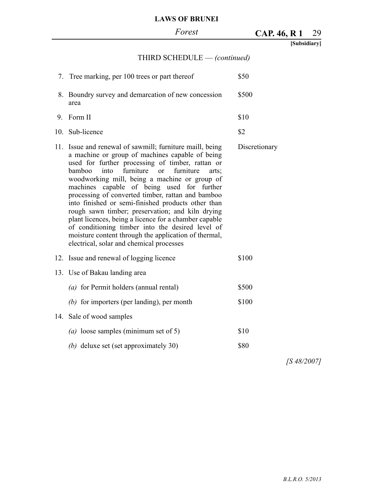# 29 **CAP. 46, R 1**

| [Subsidiary] |
|--------------|
|--------------|

# THIRD SCHEDULE — *(continued)*

|    | 7. Tree marking, per 100 trees or part thereof                                                                                                                                                                                                                                                                                                                                                                                                                                                                                                                                                                                                                                                                       | \$50          |
|----|----------------------------------------------------------------------------------------------------------------------------------------------------------------------------------------------------------------------------------------------------------------------------------------------------------------------------------------------------------------------------------------------------------------------------------------------------------------------------------------------------------------------------------------------------------------------------------------------------------------------------------------------------------------------------------------------------------------------|---------------|
|    | 8. Boundry survey and demarcation of new concession<br>area                                                                                                                                                                                                                                                                                                                                                                                                                                                                                                                                                                                                                                                          | \$500         |
| 9. | Form II                                                                                                                                                                                                                                                                                                                                                                                                                                                                                                                                                                                                                                                                                                              | \$10          |
|    | 10. Sub-licence                                                                                                                                                                                                                                                                                                                                                                                                                                                                                                                                                                                                                                                                                                      | \$2           |
|    | 11. Issue and renewal of sawmill; furniture maill, being<br>a machine or group of machines capable of being<br>used for further processing of timber, rattan or<br>furniture<br><sub>or</sub><br>furniture<br>bamboo<br>into<br>arts:<br>woodworking mill, being a machine or group of<br>machines capable of being used for further<br>processing of converted timber, rattan and bamboo<br>into finished or semi-finished products other than<br>rough sawn timber; preservation; and kiln drying<br>plant licences, being a licence for a chamber capable<br>of conditioning timber into the desired level of<br>moisture content through the application of thermal,<br>electrical, solar and chemical processes | Discretionary |
|    | 12. Issue and renewal of logging licence                                                                                                                                                                                                                                                                                                                                                                                                                                                                                                                                                                                                                                                                             | \$100         |
|    | 13. Use of Bakau landing area                                                                                                                                                                                                                                                                                                                                                                                                                                                                                                                                                                                                                                                                                        |               |
|    | $(a)$ for Permit holders (annual rental)                                                                                                                                                                                                                                                                                                                                                                                                                                                                                                                                                                                                                                                                             | \$500         |
|    | $(b)$ for importers (per landing), per month                                                                                                                                                                                                                                                                                                                                                                                                                                                                                                                                                                                                                                                                         | \$100         |
|    | 14. Sale of wood samples                                                                                                                                                                                                                                                                                                                                                                                                                                                                                                                                                                                                                                                                                             |               |
|    | (a) loose samples (minimum set of 5)                                                                                                                                                                                                                                                                                                                                                                                                                                                                                                                                                                                                                                                                                 | \$10          |
|    | (b) deluxe set (set approximately 30)                                                                                                                                                                                                                                                                                                                                                                                                                                                                                                                                                                                                                                                                                | \$80          |
|    |                                                                                                                                                                                                                                                                                                                                                                                                                                                                                                                                                                                                                                                                                                                      |               |